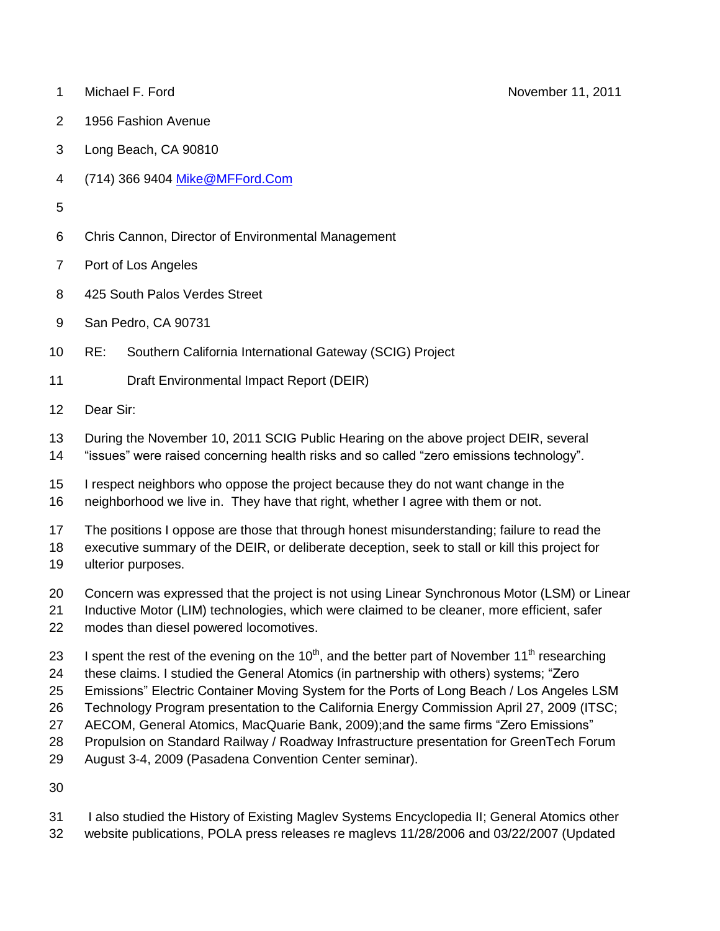- 1 Michael F. Ford **November 11, 2011**
- 1956 Fashion Avenue
- Long Beach, CA 90810
- (714) 366 9404 [Mike@MFFord.Com](mailto:Mike@MFFord.Com)
- 
- Chris Cannon, Director of Environmental Management
- Port of Los Angeles
- 425 South Palos Verdes Street
- San Pedro, CA 90731
- RE: Southern California International Gateway (SCIG) Project
- Draft Environmental Impact Report (DEIR)
- Dear Sir:
- During the November 10, 2011 SCIG Public Hearing on the above project DEIR, several
- "issues" were raised concerning health risks and so called "zero emissions technology".
- I respect neighbors who oppose the project because they do not want change in the
- neighborhood we live in. They have that right, whether I agree with them or not.
- The positions I oppose are those that through honest misunderstanding; failure to read the
- executive summary of the DEIR, or deliberate deception, seek to stall or kill this project for
- ulterior purposes.
- Concern was expressed that the project is not using Linear Synchronous Motor (LSM) or Linear
- Inductive Motor (LIM) technologies, which were claimed to be cleaner, more efficient, safer modes than diesel powered locomotives.
- 23 I spent the rest of the evening on the  $10<sup>th</sup>$ , and the better part of November  $11<sup>th</sup>$  researching
- these claims. I studied the General Atomics (in partnership with others) systems; "Zero
- Emissions" Electric Container Moving System for the Ports of Long Beach / Los Angeles LSM
- Technology Program presentation to the California Energy Commission April 27, 2009 (ITSC;
- AECOM, General Atomics, MacQuarie Bank, 2009);and the same firms "Zero Emissions"
- Propulsion on Standard Railway / Roadway Infrastructure presentation for GreenTech Forum
- August 3-4, 2009 (Pasadena Convention Center seminar).
- 
- I also studied the History of Existing Maglev Systems Encyclopedia II; General Atomics other
- website publications, POLA press releases re maglevs 11/28/2006 and 03/22/2007 (Updated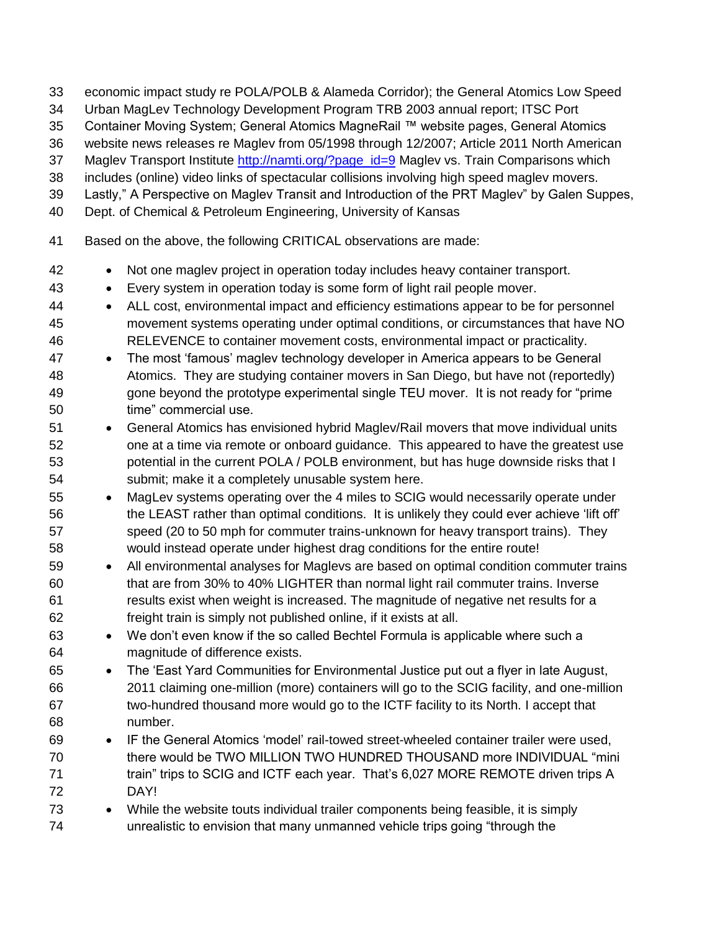- economic impact study re POLA/POLB & Alameda Corridor); the General Atomics Low Speed
- Urban MagLev Technology Development Program TRB 2003 annual report; ITSC Port
- Container Moving System; General Atomics MagneRail ™ website pages, General Atomics
- website news releases re Maglev from 05/1998 through 12/2007; Article 2011 North American
- 37 Maglev Transport Institute [http://namti.org/?page\\_id=9](http://namti.org/?page_id=9) Maglev vs. Train Comparisons which
- includes (online) video links of spectacular collisions involving high speed maglev movers.
- Lastly," A Perspective on Maglev Transit and Introduction of the PRT Maglev" by Galen Suppes,
- Dept. of Chemical & Petroleum Engineering, University of Kansas
- Based on the above, the following CRITICAL observations are made:
- 42 Not one maglev project in operation today includes heavy container transport.
- Every system in operation today is some form of light rail people mover.
- ALL cost, environmental impact and efficiency estimations appear to be for personnel movement systems operating under optimal conditions, or circumstances that have NO RELEVENCE to container movement costs, environmental impact or practicality.
- The most "famous" maglev technology developer in America appears to be General Atomics. They are studying container movers in San Diego, but have not (reportedly) gone beyond the prototype experimental single TEU mover. It is not ready for "prime time" commercial use.
- General Atomics has envisioned hybrid Maglev/Rail movers that move individual units one at a time via remote or onboard guidance. This appeared to have the greatest use potential in the current POLA / POLB environment, but has huge downside risks that I submit; make it a completely unusable system here.
- MagLev systems operating over the 4 miles to SCIG would necessarily operate under the LEAST rather than optimal conditions. It is unlikely they could ever achieve "lift off" speed (20 to 50 mph for commuter trains-unknown for heavy transport trains). They would instead operate under highest drag conditions for the entire route!
- 59 All environmental analyses for Maglevs are based on optimal condition commuter trains that are from 30% to 40% LIGHTER than normal light rail commuter trains. Inverse results exist when weight is increased. The magnitude of negative net results for a freight train is simply not published online, if it exists at all.
- We don"t even know if the so called Bechtel Formula is applicable where such a magnitude of difference exists.
- The "East Yard Communities for Environmental Justice put out a flyer in late August, 2011 claiming one-million (more) containers will go to the SCIG facility, and one-million two-hundred thousand more would go to the ICTF facility to its North. I accept that number.
- IF the General Atomics "model" rail-towed street-wheeled container trailer were used, there would be TWO MILLION TWO HUNDRED THOUSAND more INDIVIDUAL "mini 71 train" trips to SCIG and ICTF each year. That's 6,027 MORE REMOTE driven trips A DAY!
- While the website touts individual trailer components being feasible, it is simply unrealistic to envision that many unmanned vehicle trips going "through the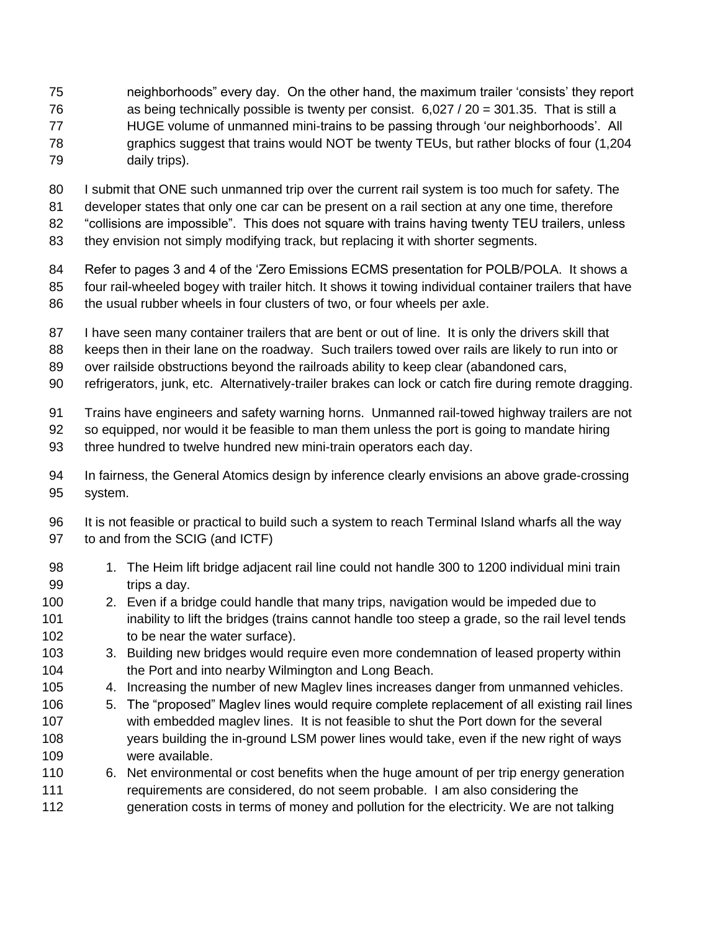- neighborhoods" every day. On the other hand, the maximum trailer "consists" they report as being technically possible is twenty per consist. 6,027 / 20 = 301.35. That is still a HUGE volume of unmanned mini-trains to be passing through "our neighborhoods". All
- graphics suggest that trains would NOT be twenty TEUs, but rather blocks of four (1,204
- daily trips).
- I submit that ONE such unmanned trip over the current rail system is too much for safety. The
- developer states that only one car can be present on a rail section at any one time, therefore
- "collisions are impossible". This does not square with trains having twenty TEU trailers, unless
- they envision not simply modifying track, but replacing it with shorter segments.
- Refer to pages 3 and 4 of the "Zero Emissions ECMS presentation for POLB/POLA. It shows a
- four rail-wheeled bogey with trailer hitch. It shows it towing individual container trailers that have
- 86 the usual rubber wheels in four clusters of two, or four wheels per axle.
- 87 I have seen many container trailers that are bent or out of line. It is only the drivers skill that
- keeps then in their lane on the roadway. Such trailers towed over rails are likely to run into or
- over railside obstructions beyond the railroads ability to keep clear (abandoned cars,
- refrigerators, junk, etc. Alternatively-trailer brakes can lock or catch fire during remote dragging.
- Trains have engineers and safety warning horns. Unmanned rail-towed highway trailers are not
- so equipped, nor would it be feasible to man them unless the port is going to mandate hiring
- three hundred to twelve hundred new mini-train operators each day.
- In fairness, the General Atomics design by inference clearly envisions an above grade-crossing system.
- It is not feasible or practical to build such a system to reach Terminal Island wharfs all the way to and from the SCIG (and ICTF)
- 1. The Heim lift bridge adjacent rail line could not handle 300 to 1200 individual mini train trips a day.
- 2. Even if a bridge could handle that many trips, navigation would be impeded due to inability to lift the bridges (trains cannot handle too steep a grade, so the rail level tends 102 to be near the water surface).
- 103 3. Building new bridges would require even more condemnation of leased property within the Port and into nearby Wilmington and Long Beach.
- 4. Increasing the number of new Maglev lines increases danger from unmanned vehicles.
- 5. The "proposed" Maglev lines would require complete replacement of all existing rail lines with embedded maglev lines. It is not feasible to shut the Port down for the several years building the in-ground LSM power lines would take, even if the new right of ways were available.
- 6. Net environmental or cost benefits when the huge amount of per trip energy generation requirements are considered, do not seem probable. I am also considering the generation costs in terms of money and pollution for the electricity. We are not talking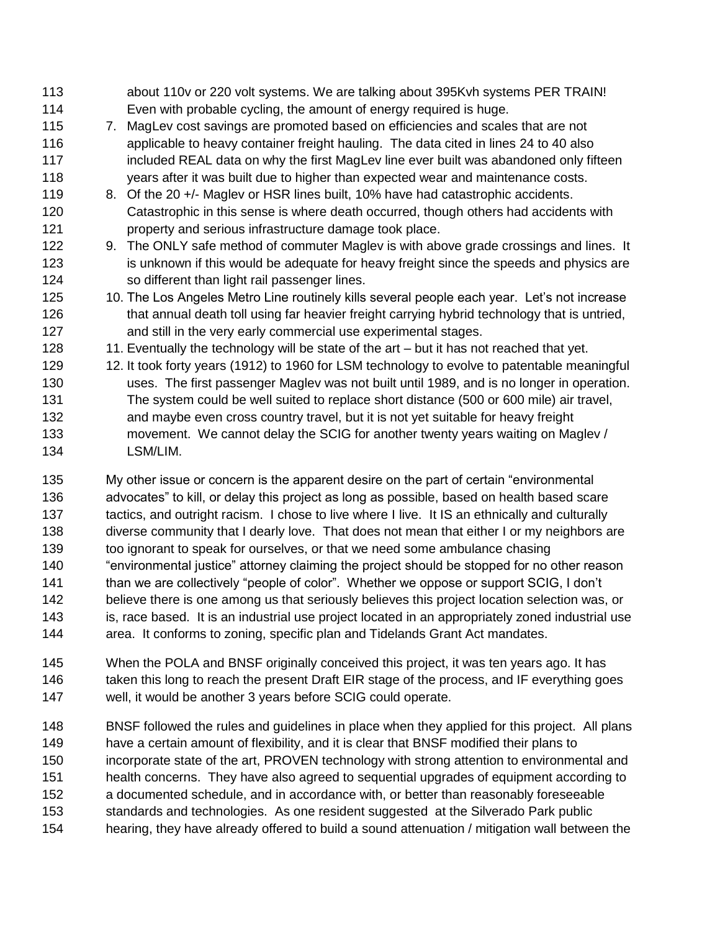- about 110v or 220 volt systems. We are talking about 395Kvh systems PER TRAIN! Even with probable cycling, the amount of energy required is huge. 7. MagLev cost savings are promoted based on efficiencies and scales that are not applicable to heavy container freight hauling. The data cited in lines 24 to 40 also 117 included REAL data on why the first MagLev line ever built was abandoned only fifteen years after it was built due to higher than expected wear and maintenance costs. 119 8. Of the 20 +/- Maglev or HSR lines built, 10% have had catastrophic accidents. Catastrophic in this sense is where death occurred, though others had accidents with **property and serious infrastructure damage took place.**  9. The ONLY safe method of commuter Maglev is with above grade crossings and lines. It 123 is unknown if this would be adequate for heavy freight since the speeds and physics are so different than light rail passenger lines. 125 10. The Los Angeles Metro Line routinely kills several people each year. Let's not increase 126 that annual death toll using far heavier freight carrying hybrid technology that is untried, and still in the very early commercial use experimental stages. 128 11. Eventually the technology will be state of the art – but it has not reached that yet. 12. It took forty years (1912) to 1960 for LSM technology to evolve to patentable meaningful uses. The first passenger Maglev was not built until 1989, and is no longer in operation. The system could be well suited to replace short distance (500 or 600 mile) air travel, and maybe even cross country travel, but it is not yet suitable for heavy freight movement. We cannot delay the SCIG for another twenty years waiting on Maglev / LSM/LIM. My other issue or concern is the apparent desire on the part of certain "environmental
- 136 advocates" to kill, or delay this project as long as possible, based on health based scare tactics, and outright racism. I chose to live where I live. It IS an ethnically and culturally diverse community that I dearly love. That does not mean that either I or my neighbors are too ignorant to speak for ourselves, or that we need some ambulance chasing "environmental justice" attorney claiming the project should be stopped for no other reason 141 than we are collectively "people of color". Whether we oppose or support SCIG, I don't believe there is one among us that seriously believes this project location selection was, or is, race based. It is an industrial use project located in an appropriately zoned industrial use area. It conforms to zoning, specific plan and Tidelands Grant Act mandates.
- When the POLA and BNSF originally conceived this project, it was ten years ago. It has 146 taken this long to reach the present Draft EIR stage of the process, and IF everything goes well, it would be another 3 years before SCIG could operate.
- BNSF followed the rules and guidelines in place when they applied for this project. All plans have a certain amount of flexibility, and it is clear that BNSF modified their plans to incorporate state of the art, PROVEN technology with strong attention to environmental and health concerns. They have also agreed to sequential upgrades of equipment according to a documented schedule, and in accordance with, or better than reasonably foreseeable standards and technologies. As one resident suggested at the Silverado Park public hearing, they have already offered to build a sound attenuation / mitigation wall between the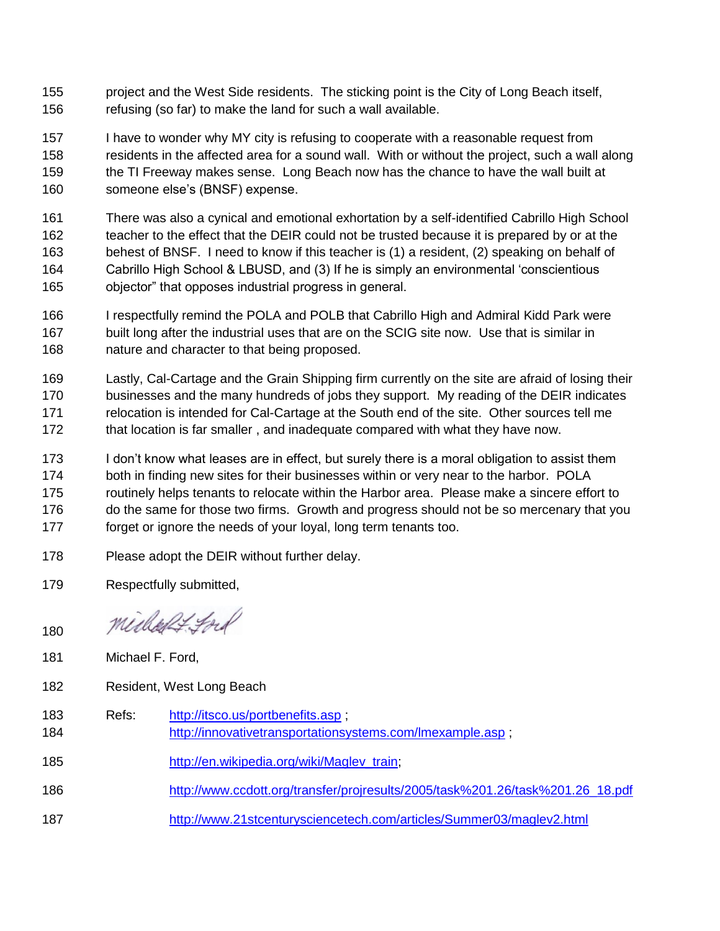project and the West Side residents. The sticking point is the City of Long Beach itself, refusing (so far) to make the land for such a wall available.

 I have to wonder why MY city is refusing to cooperate with a reasonable request from residents in the affected area for a sound wall. With or without the project, such a wall along the TI Freeway makes sense. Long Beach now has the chance to have the wall built at someone else"s (BNSF) expense.

 There was also a cynical and emotional exhortation by a self-identified Cabrillo High School teacher to the effect that the DEIR could not be trusted because it is prepared by or at the behest of BNSF. I need to know if this teacher is (1) a resident, (2) speaking on behalf of Cabrillo High School & LBUSD, and (3) If he is simply an environmental "conscientious objector" that opposes industrial progress in general.

- I respectfully remind the POLA and POLB that Cabrillo High and Admiral Kidd Park were built long after the industrial uses that are on the SCIG site now. Use that is similar in nature and character to that being proposed.
- Lastly, Cal-Cartage and the Grain Shipping firm currently on the site are afraid of losing their businesses and the many hundreds of jobs they support. My reading of the DEIR indicates relocation is intended for Cal-Cartage at the South end of the site. Other sources tell me that location is far smaller , and inadequate compared with what they have now.
- 173 I don't know what leases are in effect, but surely there is a moral obligation to assist them both in finding new sites for their businesses within or very near to the harbor. POLA routinely helps tenants to relocate within the Harbor area. Please make a sincere effort to 176 do the same for those two firms. Growth and progress should not be so mercenary that you forget or ignore the needs of your loyal, long term tenants too.
- Please adopt the DEIR without further delay.
- Respectfully submitted,

midled ford

- Michael F. Ford,
- Resident, West Long Beach
- Refs: <http://itsco.us/portbenefits.asp> ; <http://innovativetransportationsystems.com/lmexample.asp> ; [http://en.wikipedia.org/wiki/Maglev\\_train;](http://en.wikipedia.org/wiki/Maglev_train) [http://www.ccdott.org/transfer/projresults/2005/task%201.26/task%201.26\\_18.pdf](http://www.ccdott.org/transfer/projresults/2005/task%201.26/task%201.26_18.pdf)
- <http://www.21stcenturysciencetech.com/articles/Summer03/maglev2.html>